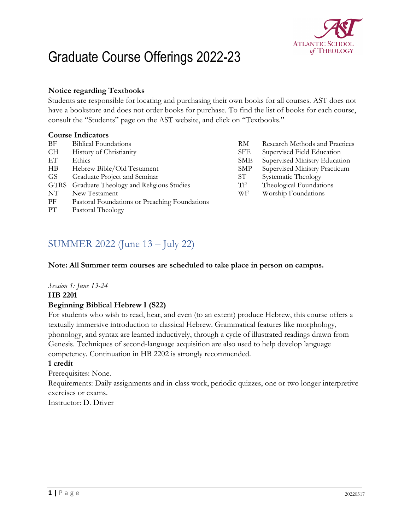

# Graduate Course Offerings 2022-23

#### **Notice regarding Textbooks**

Students are responsible for locating and purchasing their own books for all courses. AST does not have a bookstore and does not order books for purchase. To find the list of books for each course, consult the "Students" page on the AST website, and click on "Textbooks."

#### **Course Indicators**

| ΒF        | <b>Biblical Foundations</b>                   | RM         | Research Methods and Practices |
|-----------|-----------------------------------------------|------------|--------------------------------|
| CH        | History of Christianity                       | <b>SFE</b> | Supervised Field Education     |
| EТ        | Ethics                                        | SME        | Supervised Ministry Education  |
| $\rm{HB}$ | Hebrew Bible/Old Testament                    | <b>SMP</b> | Supervised Ministry Practicum  |
| GS        | Graduate Project and Seminar                  | SТ         | Systematic Theology            |
|           | GTRS Graduate Theology and Religious Studies  | TF         | Theological Foundations        |
| NΤ        | New Testament                                 | WF         | Worship Foundations            |
| РF        | Pastoral Foundations or Preaching Foundations |            |                                |
| PТ        | Pastoral Theology                             |            |                                |

# SUMMER 2022 (June 13 – July 22)

#### **Note: All Summer term courses are scheduled to take place in person on campus.**

#### *Session 1: June 13-24*

#### **HB 2201**

#### **Beginning Biblical Hebrew I (S22)**

For students who wish to read, hear, and even (to an extent) produce Hebrew, this course offers a textually immersive introduction to classical Hebrew. Grammatical features like morphology, phonology, and syntax are learned inductively, through a cycle of illustrated readings drawn from Genesis. Techniques of second-language acquisition are also used to help develop language competency. Continuation in HB 2202 is strongly recommended.

#### **1 credit**

Prerequisites: None.

Requirements: Daily assignments and in-class work, periodic quizzes, one or two longer interpretive exercises or exams.

Instructor: D. Driver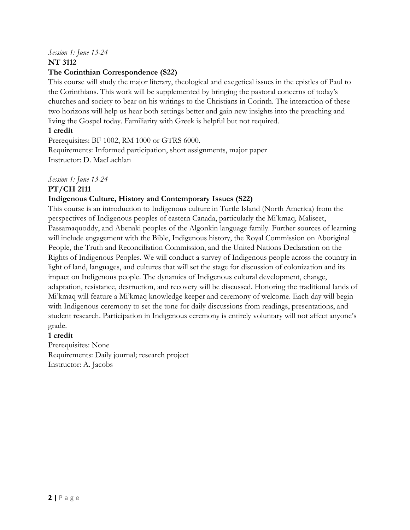# *Session 1: June 13-24*

# **NT 3112**

# **The Corinthian Correspondence (S22)**

This course will study the major literary, theological and exegetical issues in the epistles of Paul to the Corinthians. This work will be supplemented by bringing the pastoral concerns of today's churches and society to bear on his writings to the Christians in Corinth. The interaction of these two horizons will help us hear both settings better and gain new insights into the preaching and living the Gospel today. Familiarity with Greek is helpful but not required.

# **1 credit**

Prerequisites: BF 1002, RM 1000 or GTRS 6000. Requirements: Informed participation, short assignments, major paper Instructor: D. MacLachlan

# *Session 1: June 13-24*

# **PT/CH 2111**

# **Indigenous Culture, History and Contemporary Issues (S22)**

This course is an introduction to Indigenous culture in Turtle Island (North America) from the perspectives of Indigenous peoples of eastern Canada, particularly the Mi'kmaq, Maliseet, Passamaquoddy, and Abenaki peoples of the Algonkin language family. Further sources of learning will include engagement with the Bible, Indigenous history, the Royal Commission on Aboriginal People, the Truth and Reconciliation Commission, and the United Nations Declaration on the Rights of Indigenous Peoples. We will conduct a survey of Indigenous people across the country in light of land, languages, and cultures that will set the stage for discussion of colonization and its impact on Indigenous people. The dynamics of Indigenous cultural development, change, adaptation, resistance, destruction, and recovery will be discussed. Honoring the traditional lands of Mi'kmaq will feature a Mi'kmaq knowledge keeper and ceremony of welcome. Each day will begin with Indigenous ceremony to set the tone for daily discussions from readings, presentations, and student research. Participation in Indigenous ceremony is entirely voluntary will not affect anyone's grade.

# **1 credit**

Prerequisites: None Requirements: Daily journal; research project Instructor: A. Jacobs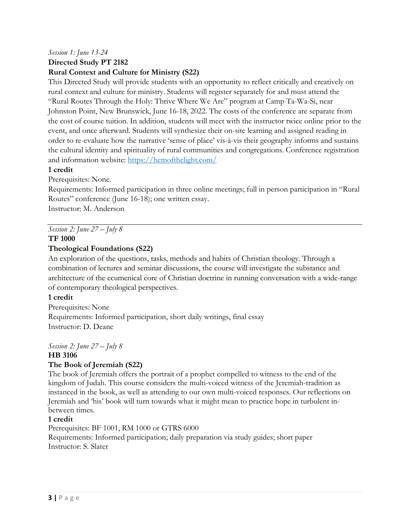### *Session 1: June 13-24*

**Directed Study PT 2182** 

#### **Rural Context and Culture for Ministry (S22)**

This Directed Study will provide students with an opportunity to reflect critically and creatively on rural context and culture for ministry. Students will register separately for and must attend the "Rural Routes Through the Holy: Thrive Where We Are" program at Camp Ta-Wa-Si, near Johnston Point, New Brunswick, June 16-18, 2022. The costs of the conference are separate from the cost of course tuition. In addition, students will meet with the instructor twice online prior to the event, and once afterward. Students will synthesize their on-site learning and assigned reading in order to re-evaluate how the narrative 'sense of place' vis-à-vis their geography informs and sustains the cultural identity and spirituality of rural communities and congregations. Conference registration and information website:<https://hemofthelight.com/>

#### **1 credit**

Prerequisites: None.

Requirements: Informed participation in three online meetings; full in person participation in "Rural Routes" conference (June 16-18); one written essay.

Instructor: M. Anderson

*Session 2: June 27 – July 8*

#### **TF 1000**

#### **Theological Foundations (S22)**

An exploration of the questions, tasks, methods and habits of Christian theology. Through a combination of lectures and seminar discussions, the course will investigate the substance and architecture of the ecumenical core of Christian doctrine in running conversation with a wide-range of contemporary theological perspectives.

#### **1 credit**

Prerequisites: None Requirements: Informed participation, short daily writings, final essay Instructor: D. Deane

#### *Session 2: June 27 – July 8* **HB 3106**

# **The Book of Jeremiah (S22)**

The book of Jeremiah offers the portrait of a prophet compelled to witness to the end of the kingdom of Judah. This course considers the multi-voiced witness of the Jeremiah-tradition as instanced in the book, as well as attending to our own multi-voiced responses. Our reflections on Jeremiah and 'his' book will turn towards what it might mean to practice hope in turbulent inbetween times.

#### **1 credit**

Prerequisites: BF 1001, RM 1000 or GTRS 6000 Requirements: Informed participation; daily preparation via study guides; short paper Instructor: S. Slater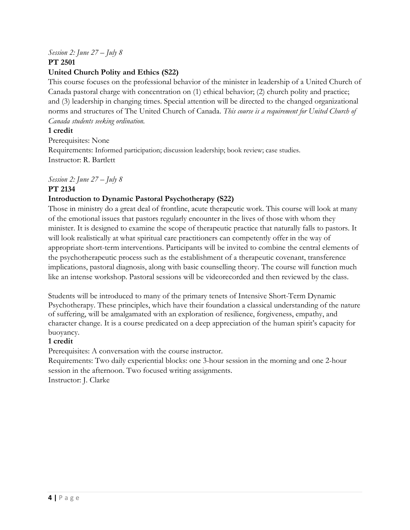# *Session 2: June 27 – July 8*

**PT 2501** 

# **United Church Polity and Ethics (S22)**

This course focuses on the professional behavior of the minister in leadership of a United Church of Canada pastoral charge with concentration on (1) ethical behavior; (2) church polity and practice; and (3) leadership in changing times. Special attention will be directed to the changed organizational norms and structures of The United Church of Canada. *This course is a requirement for United Church of Canada students seeking ordination.* 

# **1 credit**

Prerequisites: None Requirements: Informed participation; discussion leadership; book review; case studies. Instructor: R. Bartlett

# *Session 2: June 27 – July 8*

# **PT 2134**

# **Introduction to Dynamic Pastoral Psychotherapy (S22)**

Those in ministry do a great deal of frontline, acute therapeutic work. This course will look at many of the emotional issues that pastors regularly encounter in the lives of those with whom they minister. It is designed to examine the scope of therapeutic practice that naturally falls to pastors. It will look realistically at what spiritual care practitioners can competently offer in the way of appropriate short-term interventions. Participants will be invited to combine the central elements of the psychotherapeutic process such as the establishment of a therapeutic covenant, transference implications, pastoral diagnosis, along with basic counselling theory. The course will function much like an intense workshop. Pastoral sessions will be videorecorded and then reviewed by the class.

Students will be introduced to many of the primary tenets of Intensive Short-Term Dynamic Psychotherapy. These principles, which have their foundation a classical understanding of the nature of suffering, will be amalgamated with an exploration of resilience, forgiveness, empathy, and character change. It is a course predicated on a deep appreciation of the human spirit's capacity for buoyancy.

# **1 credit**

Prerequisites: A conversation with the course instructor.

Requirements: Two daily experiential blocks: one 3-hour session in the morning and one 2-hour session in the afternoon. Two focused writing assignments. Instructor: J. Clarke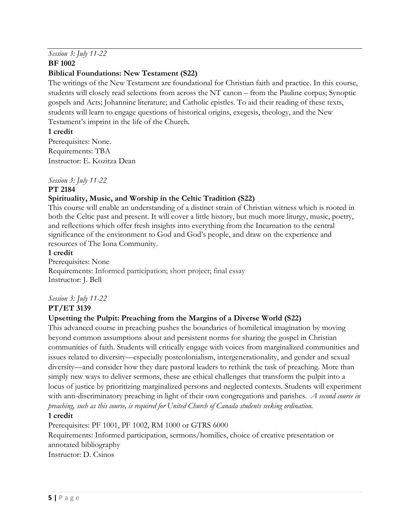#### *Session 3: July 11-22* **BF 1002**

### **Biblical Foundations: New Testament (S22)**

The writings of the New Testament are foundational for Christian faith and practice. In this course, students will closely read selections from across the NT canon – from the Pauline corpus; Synoptic gospels and Acts; Johannine literature; and Catholic epistles. To aid their reading of these texts, students will learn to engage questions of historical origins, exegesis, theology, and the New Testament's imprint in the life of the Church.

#### **1 credit**

Prerequisites: None. Requirements: TBA Instructor: E. Kozitza Dean

*Session 3: July 11-22*

#### **PT 2184**

# **Spirituality, Music, and Worship in the Celtic Tradition (S22)**

This course will enable an understanding of a distinct strain of Christian witness which is rooted in both the Celtic past and present. It will cover a little history, but much more liturgy, music, poetry, and reflections which offer fresh insights into everything from the Incarnation to the central significance of the environment to God and God's people, and draw on the experience and resources of The Iona Community.

#### **1 credit**

Prerequisites: None Requirements: Informed participation; short project; final essay Instructor: J. Bell

# *Session 3: July 11-22*

# **PT/ET 3139**

# **Upsetting the Pulpit: Preaching from the Margins of a Diverse World (S22)**

This advanced course in preaching pushes the boundaries of homiletical imagination by moving beyond common assumptions about and persistent norms for sharing the gospel in Christian communities of faith. Students will critically engage with voices from marginalized communities and issues related to diversity—especially postcolonialism, intergenerationality, and gender and sexual diversity—and consider how they dare pastoral leaders to rethink the task of preaching. More than simply new ways to deliver sermons, these are ethical challenges that transform the pulpit into a locus of justice by prioritizing marginalized persons and neglected contexts. Students will experiment with anti-discriminatory preaching in light of their own congregations and parishes. *A second course in preaching, such as this course, is required for United Church of Canada students seeking ordination.*

#### **1 credit**

Prerequisites: PF 1001, PF 1002, RM 1000 or GTRS 6000

Requirements: Informed participation, sermons/homilies, choice of creative presentation or annotated bibliography

Instructor: D. Csinos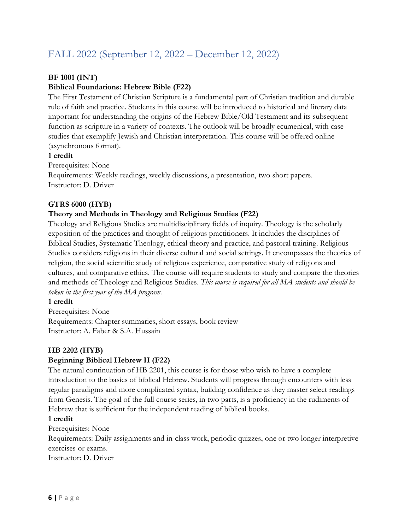# FALL 2022 (September 12, 2022 – December 12, 2022)

# **BF 1001 (INT)**

# **Biblical Foundations: Hebrew Bible (F22)**

The First Testament of Christian Scripture is a fundamental part of Christian tradition and durable rule of faith and practice. Students in this course will be introduced to historical and literary data important for understanding the origins of the Hebrew Bible/Old Testament and its subsequent function as scripture in a variety of contexts. The outlook will be broadly ecumenical, with case studies that exemplify Jewish and Christian interpretation. This course will be offered online (asynchronous format).

#### **1 credit**

Prerequisites: None

Requirements: Weekly readings, weekly discussions, a presentation, two short papers. Instructor: D. Driver

#### **GTRS 6000 (HYB)**

#### **Theory and Methods in Theology and Religious Studies (F22)**

Theology and Religious Studies are multidisciplinary fields of inquiry. Theology is the scholarly exposition of the practices and thought of religious practitioners. It includes the disciplines of Biblical Studies, Systematic Theology, ethical theory and practice, and pastoral training. Religious Studies considers religions in their diverse cultural and social settings. It encompasses the theories of religion, the social scientific study of religious experience, comparative study of religions and cultures, and comparative ethics. The course will require students to study and compare the theories and methods of Theology and Religious Studies. *This course is required for all MA students and should be taken in the first year of the MA program.* 

#### **1 credit**

Prerequisites: None Requirements: Chapter summaries, short essays, book review Instructor: A. Faber & S.A. Hussain

#### **HB 2202 (HYB)**

#### **Beginning Biblical Hebrew II (F22)**

The natural continuation of HB 2201, this course is for those who wish to have a complete introduction to the basics of biblical Hebrew. Students will progress through encounters with less regular paradigms and more complicated syntax, building confidence as they master select readings from Genesis. The goal of the full course series, in two parts, is a proficiency in the rudiments of Hebrew that is sufficient for the independent reading of biblical books.

#### **1 credit**

Prerequisites: None Requirements: Daily assignments and in-class work, periodic quizzes, one or two longer interpretive exercises or exams. Instructor: D. Driver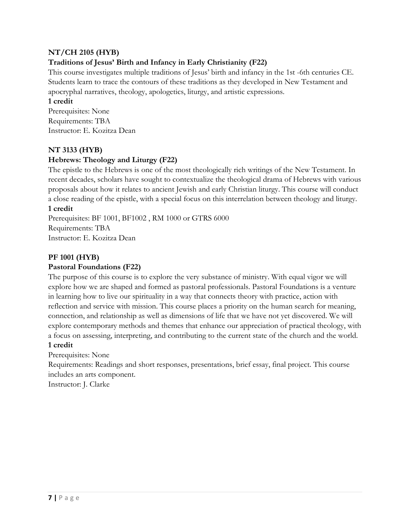# **NT/CH 2105 (HYB)**

# **Traditions of Jesus' Birth and Infancy in Early Christianity (F22)**

This course investigates multiple traditions of Jesus' birth and infancy in the 1st -6th centuries CE. Students learn to trace the contours of these traditions as they developed in New Testament and apocryphal narratives, theology, apologetics, liturgy, and artistic expressions.

#### **1 credit**

Prerequisites: None Requirements: TBA Instructor: E. Kozitza Dean

#### **NT 3133 (HYB)**

#### **Hebrews: Theology and Liturgy (F22)**

The epistle to the Hebrews is one of the most theologically rich writings of the New Testament. In recent decades, scholars have sought to contextualize the theological drama of Hebrews with various proposals about how it relates to ancient Jewish and early Christian liturgy. This course will conduct a close reading of the epistle, with a special focus on this interrelation between theology and liturgy.

#### **1 credit**

Prerequisites: BF 1001, BF1002 , RM 1000 or GTRS 6000 Requirements: TBA Instructor: E. Kozitza Dean

#### **PF 1001 (HYB)**

#### **Pastoral Foundations (F22)**

The purpose of this course is to explore the very substance of ministry. With equal vigor we will explore how we are shaped and formed as pastoral professionals. Pastoral Foundations is a venture in learning how to live our spirituality in a way that connects theory with practice, action with reflection and service with mission. This course places a priority on the human search for meaning, connection, and relationship as well as dimensions of life that we have not yet discovered. We will explore contemporary methods and themes that enhance our appreciation of practical theology, with a focus on assessing, interpreting, and contributing to the current state of the church and the world. **1 credit**

Prerequisites: None

Requirements: Readings and short responses, presentations, brief essay, final project. This course includes an arts component.

Instructor: J. Clarke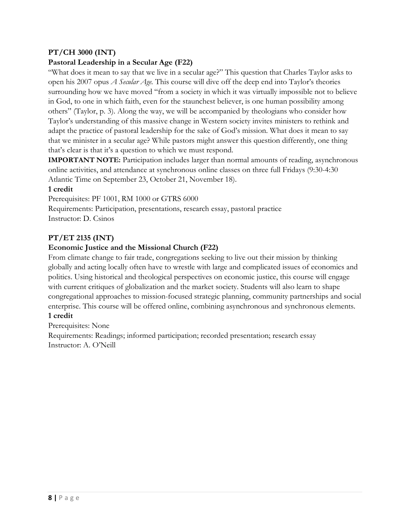# **PT/CH 3000 (INT)**

# **Pastoral Leadership in a Secular Age (F22)**

"What does it mean to say that we live in a secular age?" This question that Charles Taylor asks to open his 2007 opus *A Secular Age.* This course will dive off the deep end into Taylor's theories surrounding how we have moved "from a society in which it was virtually impossible not to believe in God, to one in which faith, even for the staunchest believer, is one human possibility among others" (Taylor, p. 3). Along the way, we will be accompanied by theologians who consider how Taylor's understanding of this massive change in Western society invites ministers to rethink and adapt the practice of pastoral leadership for the sake of God's mission. What does it mean to say that we minister in a secular age? While pastors might answer this question differently, one thing that's clear is that it's a question to which we must respond.

**IMPORTANT NOTE:** Participation includes larger than normal amounts of reading, asynchronous online activities, and attendance at synchronous online classes on three full Fridays (9:30-4:30 Atlantic Time on September 23, October 21, November 18).

#### **1 credit**

Prerequisites: PF 1001, RM 1000 or GTRS 6000

Requirements: Participation, presentations, research essay, pastoral practice Instructor: D. Csinos

# **PT/ET 2135 (INT)**

#### **Economic Justice and the Missional Church (F22)**

From climate change to fair trade, congregations seeking to live out their mission by thinking globally and acting locally often have to wrestle with large and complicated issues of economics and politics. Using historical and theological perspectives on economic justice, this course will engage with current critiques of globalization and the market society. Students will also learn to shape congregational approaches to mission-focused strategic planning, community partnerships and social enterprise. This course will be offered online, combining asynchronous and synchronous elements. **1 credit**

Prerequisites: None

Requirements: Readings; informed participation; recorded presentation; research essay Instructor: A. O'Neill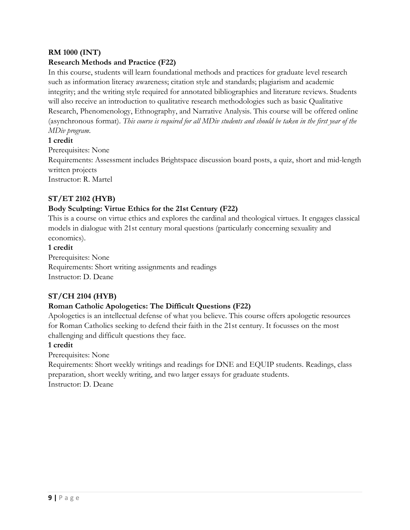# **RM 1000 (INT)**

# **Research Methods and Practice (F22)**

In this course, students will learn foundational methods and practices for graduate level research such as information literacy awareness; citation style and standards; plagiarism and academic integrity; and the writing style required for annotated bibliographies and literature reviews. Students will also receive an introduction to qualitative research methodologies such as basic Qualitative Research, Phenomenology, Ethnography, and Narrative Analysis. This course will be offered online (asynchronous format). *This course is required for all MDiv students and should be taken in the first year of the MDiv program.*

#### **1 credit**

Prerequisites: None

Requirements: Assessment includes Brightspace discussion board posts, a quiz, short and mid-length written projects

Instructor: R. Martel

# **ST/ET 2102 (HYB)**

#### **Body Sculpting: Virtue Ethics for the 21st Century (F22)**

This is a course on virtue ethics and explores the cardinal and theological virtues. It engages classical models in dialogue with 21st century moral questions (particularly concerning sexuality and economics).

#### **1 credit**

Prerequisites: None Requirements: Short writing assignments and readings Instructor: D. Deane

# **ST/CH 2104 (HYB)**

# **Roman Catholic Apologetics: The Difficult Questions (F22)**

Apologetics is an intellectual defense of what you believe. This course offers apologetic resources for Roman Catholics seeking to defend their faith in the 21st century. It focusses on the most challenging and difficult questions they face.

#### **1 credit**

Prerequisites: None

Requirements: Short weekly writings and readings for DNE and EQUIP students. Readings, class preparation, short weekly writing, and two larger essays for graduate students. Instructor: D. Deane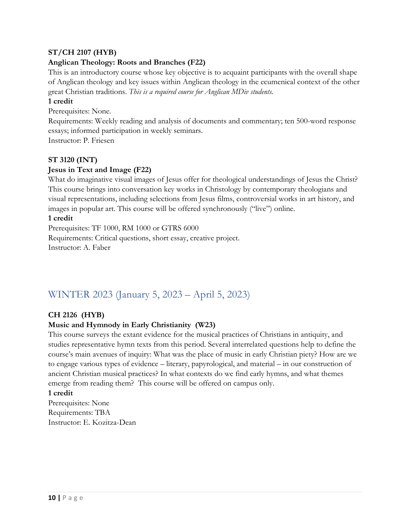### **ST/CH 2107 (HYB)**

#### **Anglican Theology: Roots and Branches (F22)**

This is an introductory course whose key objective is to acquaint participants with the overall shape of Anglican theology and key issues within Anglican theology in the ecumenical context of the other great Christian traditions. *This is a required course for Anglican MDiv students.*

#### **1 credit**

Prerequisites: None.

Requirements: Weekly reading and analysis of documents and commentary; ten 500-word response essays; informed participation in weekly seminars.

Instructor: P. Friesen

#### **ST 3120 (INT)**

#### **Jesus in Text and Image (F22)**

What do imaginative visual images of Jesus offer for theological understandings of Jesus the Christ? This course brings into conversation key works in Christology by contemporary theologians and visual representations, including selections from Jesus films, controversial works in art history, and images in popular art. This course will be offered synchronously ("live") online.

#### **1 credit**

Prerequisites: TF 1000, RM 1000 or GTRS 6000 Requirements: Critical questions, short essay, creative project. Instructor: A. Faber

# WINTER 2023 (January 5, 2023 – April 5, 2023)

#### **CH 2126 (HYB)**

#### **Music and Hymnody in Early Christianity (W23)**

This course surveys the extant evidence for the musical practices of Christians in antiquity, and studies representative hymn texts from this period. Several interrelated questions help to define the course's main avenues of inquiry: What was the place of music in early Christian piety? How are we to engage various types of evidence – literary, papyrological, and material – in our construction of ancient Christian musical practices? In what contexts do we find early hymns, and what themes emerge from reading them? This course will be offered on campus only.

#### **1 credit**

Prerequisites: None Requirements: TBA Instructor: E. Kozitza-Dean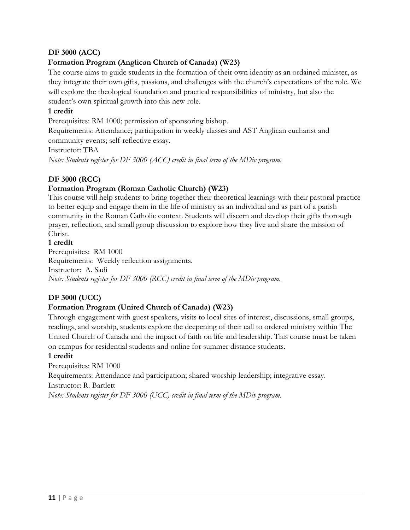# **DF 3000 (ACC)**

# **Formation Program (Anglican Church of Canada) (W23)**

The course aims to guide students in the formation of their own identity as an ordained minister, as they integrate their own gifts, passions, and challenges with the church's expectations of the role. We will explore the theological foundation and practical responsibilities of ministry, but also the student's own spiritual growth into this new role.

#### **1 credit**

Prerequisites: RM 1000; permission of sponsoring bishop.

Requirements: Attendance; participation in weekly classes and AST Anglican eucharist and community events; self-reflective essay.

Instructor: TBA

*Note: Students register for DF 3000 (ACC) credit in final term of the MDiv program.*

# **DF 3000 (RCC)**

#### **Formation Program (Roman Catholic Church) (W23)**

This course will help students to bring together their theoretical learnings with their pastoral practice to better equip and engage them in the life of ministry as an individual and as part of a parish community in the Roman Catholic context. Students will discern and develop their gifts thorough prayer, reflection, and small group discussion to explore how they live and share the mission of Christ.

#### **1 credit**

Prerequisites: RM 1000 Requirements: Weekly reflection assignments. Instructor: A. Sadi *Note: Students register for DF 3000 (RCC) credit in final term of the MDiv program.*

# **DF 3000 (UCC)**

# **Formation Program (United Church of Canada) (W23)**

Through engagement with guest speakers, visits to local sites of interest, discussions, small groups, readings, and worship, students explore the deepening of their call to ordered ministry within The United Church of Canada and the impact of faith on life and leadership. This course must be taken on campus for residential students and online for summer distance students.

#### **1 credit**

Prerequisites: RM 1000 Requirements: Attendance and participation; shared worship leadership; integrative essay. Instructor: R. Bartlett *Note: Students register for DF 3000 (UCC) credit in final term of the MDiv program.*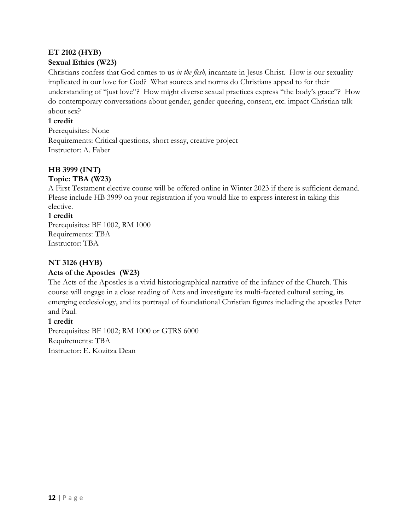### **ET 2102 (HYB) Sexual Ethics (W23)**

Christians confess that God comes to us *in the flesh,* incarnate in Jesus Christ*.* How is our sexuality implicated in our love for God? What sources and norms do Christians appeal to for their understanding of "just love"? How might diverse sexual practices express "the body's grace"? How do contemporary conversations about gender, gender queering, consent, etc. impact Christian talk about sex?

# **1 credit**

Prerequisites: None Requirements: Critical questions, short essay, creative project Instructor: A. Faber

# **HB 3999 (INT)**

#### **Topic: TBA (W23)**

A First Testament elective course will be offered online in Winter 2023 if there is sufficient demand. Please include HB 3999 on your registration if you would like to express interest in taking this elective.

# **1 credit**

Prerequisites: BF 1002, RM 1000 Requirements: TBA Instructor: TBA

# **NT 3126 (HYB)**

# **Acts of the Apostles (W23)**

The Acts of the Apostles is a vivid historiographical narrative of the infancy of the Church. This course will engage in a close reading of Acts and investigate its multi-faceted cultural setting, its emerging ecclesiology, and its portrayal of foundational Christian figures including the apostles Peter and Paul.

# **1 credit**

Prerequisites: BF 1002; RM 1000 or GTRS 6000 Requirements: TBA Instructor: E. Kozitza Dean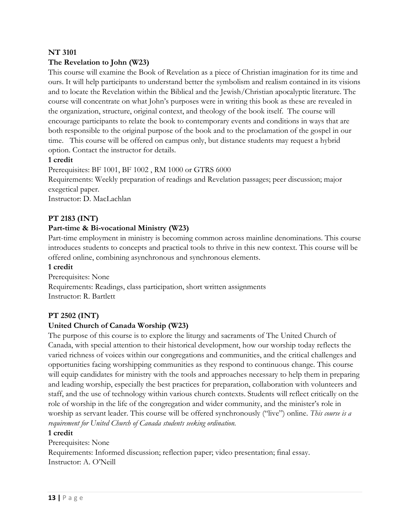#### **NT 3101**

#### **The Revelation to John (W23)**

This course will examine the Book of Revelation as a piece of Christian imagination for its time and ours. It will help participants to understand better the symbolism and realism contained in its visions and to locate the Revelation within the Biblical and the Jewish/Christian apocalyptic literature. The course will concentrate on what John's purposes were in writing this book as these are revealed in the organization, structure, original context, and theology of the book itself. The course will encourage participants to relate the book to contemporary events and conditions in ways that are both responsible to the original purpose of the book and to the proclamation of the gospel in our time. This course will be offered on campus only, but distance students may request a hybrid option. Contact the instructor for details.

#### **1 credit**

Prerequisites: BF 1001, BF 1002 , RM 1000 or GTRS 6000 Requirements: Weekly preparation of readings and Revelation passages; peer discussion; major

exegetical paper.

Instructor: D. MacLachlan

#### **PT 2183 (INT)**

#### **Part-time & Bi-vocational Ministry (W23)**

Part-time employment in ministry is becoming common across mainline denominations. This course introduces students to concepts and practical tools to thrive in this new context. This course will be offered online, combining asynchronous and synchronous elements.

#### **1 credit**

Prerequisites: None Requirements: Readings, class participation, short written assignments Instructor: R. Bartlett

#### **PT 2502 (INT)**

#### **United Church of Canada Worship (W23)**

The purpose of this course is to explore the liturgy and sacraments of The United Church of Canada, with special attention to their historical development, how our worship today reflects the varied richness of voices within our congregations and communities, and the critical challenges and opportunities facing worshipping communities as they respond to continuous change. This course will equip candidates for ministry with the tools and approaches necessary to help them in preparing and leading worship, especially the best practices for preparation, collaboration with volunteers and staff, and the use of technology within various church contexts. Students will reflect critically on the role of worship in the life of the congregation and wider community, and the minister's role in worship as servant leader. This course will be offered synchronously ("live") online. *This course is a requirement for United Church of Canada students seeking ordination.*

#### **1 credit**

Prerequisites: None Requirements: Informed discussion; reflection paper; video presentation; final essay. Instructor: A. O'Neill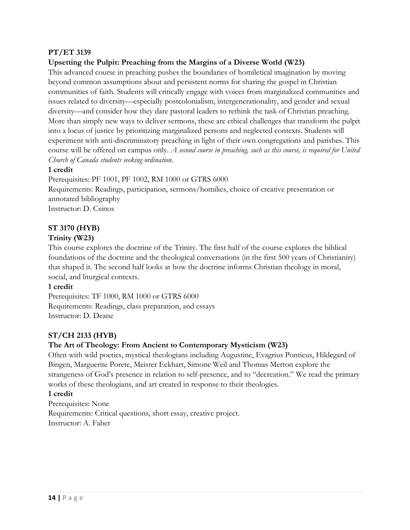#### **PT/ET 3139**

#### **Upsetting the Pulpit: Preaching from the Margins of a Diverse World (W23)**

This advanced course in preaching pushes the boundaries of homiletical imagination by moving beyond common assumptions about and persistent norms for sharing the gospel in Christian communities of faith. Students will critically engage with voices from marginalized communities and issues related to diversity—especially postcolonialism, intergenerationality, and gender and sexual diversity—and consider how they dare pastoral leaders to rethink the task of Christian preaching. More than simply new ways to deliver sermons, these are ethical challenges that transform the pulpit into a locus of justice by prioritizing marginalized persons and neglected contexts. Students will experiment with anti-discriminatory preaching in light of their own congregations and parishes. This course will be offered on campus only. *A second course in preaching, such as this course, is required for United Church of Canada students seeking ordination.*

#### **1 credit**

Prerequisites: PF 1001, PF 1002, RM 1000 or GTRS 6000 Requirements: Readings, participation, sermons/homilies, choice of creative presentation or annotated bibliography Instructor: D. Csinos

#### **ST 3170 (HYB)**

#### **Trinity (W23)**

This course explores the doctrine of the Trinity. The first half of the course explores the biblical foundations of the doctrine and the theological conversations (in the first 500 years of Christianity) that shaped it. The second half looks at how the doctrine informs Christian theology in moral, social, and liturgical contexts.

#### **1 credit**

Prerequisites: TF 1000, RM 1000 or GTRS 6000 Requirements: Readings, class preparation, and essays Instructor: D. Deane

#### **ST/CH 2133 (HYB)**

#### **The Art of Theology: From Ancient to Contemporary Mysticism (W23)**

Often with wild poetics, mystical theologians including Augustine, Evagrius Ponticus, Hildegard of Bingen, Marguerite Porete, Meister Eckhart, Simone Weil and Thomas Merton explore the strangeness of God's presence in relation to self-presence, and to "decreation." We read the primary works of these theologians, and art created in response to their theologies.

#### **1 credit**

Prerequisites: None Requirements: Critical questions, short essay, creative project. Instructor: A. Faber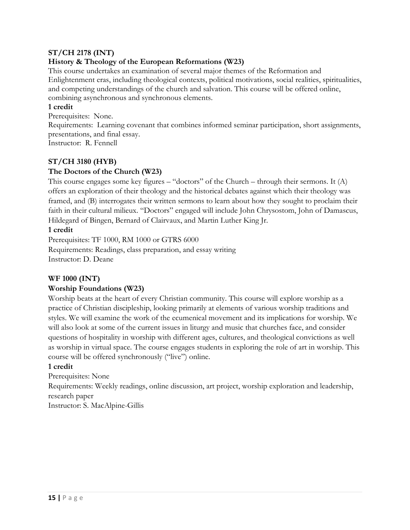#### **ST/CH 2178 (INT)**

#### **History & Theology of the European Reformations (W23)**

This course undertakes an examination of several major themes of the Reformation and Enlightenment eras, including theological contexts, political motivations, social realities, spiritualities, and competing understandings of the church and salvation. This course will be offered online, combining asynchronous and synchronous elements.

#### **1 credit**

Prerequisites: None.

Requirements: Learning covenant that combines informed seminar participation, short assignments, presentations, and final essay.

Instructor: R. Fennell

#### **ST/CH 3180 (HYB)**

#### **The Doctors of the Church (W23)**

This course engages some key figures – "doctors" of the Church – through their sermons. It (A) offers an exploration of their theology and the historical debates against which their theology was framed, and (B) interrogates their written sermons to learn about how they sought to proclaim their faith in their cultural milieux. "Doctors" engaged will include John Chrysostom, John of Damascus, Hildegard of Bingen, Bernard of Clairvaux, and Martin Luther King Jr.

#### **1 credit**

Prerequisites: TF 1000, RM 1000 or GTRS 6000 Requirements: Readings, class preparation, and essay writing Instructor: D. Deane

#### **WF 1000 (INT)**

#### **Worship Foundations (W23)**

Worship beats at the heart of every Christian community. This course will explore worship as a practice of Christian discipleship, looking primarily at elements of various worship traditions and styles. We will examine the work of the ecumenical movement and its implications for worship. We will also look at some of the current issues in liturgy and music that churches face, and consider questions of hospitality in worship with different ages, cultures, and theological convictions as well as worship in virtual space. The course engages students in exploring the role of art in worship. This course will be offered synchronously ("live") online.

#### **1 credit**

Prerequisites: None

Requirements: Weekly readings, online discussion, art project, worship exploration and leadership, research paper

Instructor: S. MacAlpine-Gillis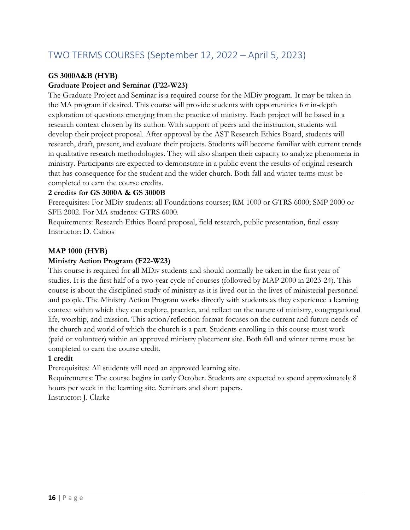# TWO TERMS COURSES (September 12, 2022 – April 5, 2023)

# **GS 3000A&B (HYB)**

#### **Graduate Project and Seminar (F22-W23)**

The Graduate Project and Seminar is a required course for the MDiv program. It may be taken in the MA program if desired. This course will provide students with opportunities for in-depth exploration of questions emerging from the practice of ministry. Each project will be based in a research context chosen by its author. With support of peers and the instructor, students will develop their project proposal. After approval by the AST Research Ethics Board, students will research, draft, present, and evaluate their projects. Students will become familiar with current trends in qualitative research methodologies. They will also sharpen their capacity to analyze phenomena in ministry. Participants are expected to demonstrate in a public event the results of original research that has consequence for the student and the wider church. Both fall and winter terms must be completed to earn the course credits.

#### **2 credits for GS 3000A & GS 3000B**

Prerequisites: For MDiv students: all Foundations courses; RM 1000 or GTRS 6000; SMP 2000 or SFE 2002. For MA students: GTRS 6000.

Requirements: Research Ethics Board proposal, field research, public presentation, final essay Instructor: D. Csinos

#### **MAP 1000 (HYB)**

#### **Ministry Action Program (F22-W23)**

This course is required for all MDiv students and should normally be taken in the first year of studies. It is the first half of a two-year cycle of courses (followed by MAP 2000 in 2023-24). This course is about the disciplined study of ministry as it is lived out in the lives of ministerial personnel and people. The Ministry Action Program works directly with students as they experience a learning context within which they can explore, practice, and reflect on the nature of ministry, congregational life, worship, and mission. This action/reflection format focuses on the current and future needs of the church and world of which the church is a part. Students enrolling in this course must work (paid or volunteer) within an approved ministry placement site. Both fall and winter terms must be completed to earn the course credit.

#### **1 credit**

Prerequisites: All students will need an approved learning site.

Requirements: The course begins in early October. Students are expected to spend approximately 8 hours per week in the learning site. Seminars and short papers.

Instructor: J. Clarke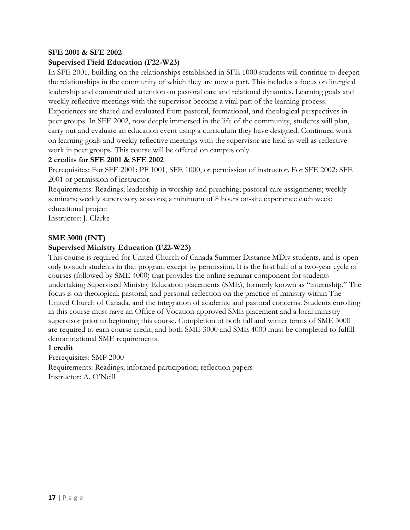#### **SFE 2001 & SFE 2002**

#### **Supervised Field Education (F22-W23)**

In SFE 2001, building on the relationships established in SFE 1000 students will continue to deepen the relationships in the community of which they are now a part. This includes a focus on liturgical leadership and concentrated attention on pastoral care and relational dynamics. Learning goals and weekly reflective meetings with the supervisor become a vital part of the learning process. Experiences are shared and evaluated from pastoral, formational, and theological perspectives in peer groups. In SFE 2002, now deeply immersed in the life of the community, students will plan, carry out and evaluate an education event using a curriculum they have designed. Continued work on learning goals and weekly reflective meetings with the supervisor are held as well as reflective

work in peer groups. This course will be offered on campus only.

#### **2 credits for SFE 2001 & SFE 2002**

Prerequisites: For SFE 2001: PF 1001, SFE 1000, or permission of instructor. For SFE 2002: SFE 2001 or permission of instructor.

Requirements: Readings; leadership in worship and preaching; pastoral care assignments; weekly seminars; weekly supervisory sessions; a minimum of 8 hours on-site experience each week; educational project

Instructor: J. Clarke

#### **SME 3000 (INT)**

#### **Supervised Ministry Education (F22-W23)**

This course is required for United Church of Canada Summer Distance MDiv students, and is open only to such students in that program except by permission. It is the first half of a two-year cycle of courses (followed by SME 4000) that provides the online seminar component for students undertaking Supervised Ministry Education placements (SME), formerly known as "internship." The focus is on theological, pastoral, and personal reflection on the practice of ministry within The United Church of Canada, and the integration of academic and pastoral concerns. Students enrolling in this course must have an Office of Vocation-approved SME placement and a local ministry supervisor prior to beginning this course. Completion of both fall and winter terms of SME 3000 are required to earn course credit, and both SME 3000 and SME 4000 must be completed to fulfill denominational SME requirements.

#### **1 credit**

Prerequisites: SMP 2000 Requirements: Readings; informed participation; reflection papers Instructor: A. O'Neill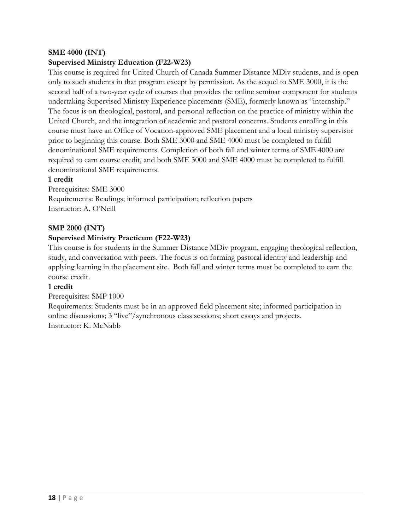#### **SME 4000 (INT)**

#### **Supervised Ministry Education (F22-W23)**

This course is required for United Church of Canada Summer Distance MDiv students, and is open only to such students in that program except by permission. As the sequel to SME 3000, it is the second half of a two-year cycle of courses that provides the online seminar component for students undertaking Supervised Ministry Experience placements (SME), formerly known as "internship." The focus is on theological, pastoral, and personal reflection on the practice of ministry within the United Church, and the integration of academic and pastoral concerns. Students enrolling in this course must have an Office of Vocation-approved SME placement and a local ministry supervisor prior to beginning this course. Both SME 3000 and SME 4000 must be completed to fulfill denominational SME requirements. Completion of both fall and winter terms of SME 4000 are required to earn course credit, and both SME 3000 and SME 4000 must be completed to fulfill denominational SME requirements.

#### **1 credit**

Prerequisites: SME 3000 Requirements: Readings; informed participation; reflection papers Instructor: A. O'Neill

#### **SMP 2000 (INT)**

#### **Supervised Ministry Practicum (F22-W23)**

This course is for students in the Summer Distance MDiv program, engaging theological reflection, study, and conversation with peers. The focus is on forming pastoral identity and leadership and applying learning in the placement site. Both fall and winter terms must be completed to earn the course credit.

#### **1 credit**

#### Prerequisites: SMP 1000

Requirements: Students must be in an approved field placement site; informed participation in online discussions; 3 "live"/synchronous class sessions; short essays and projects. Instructor: K. McNabb